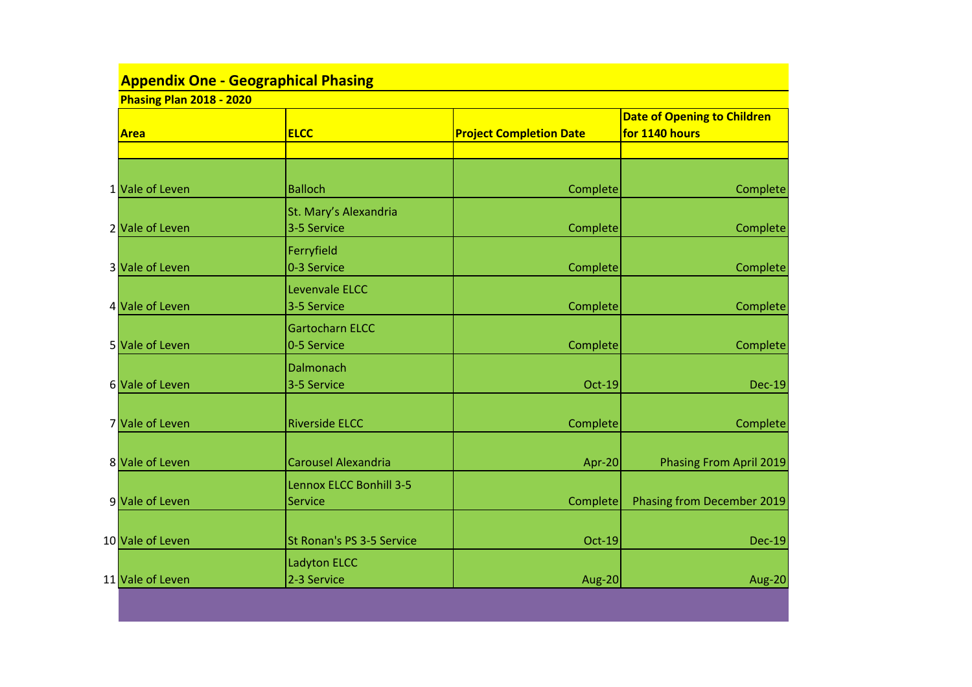| <b>Phasing Plan 2018 - 2020</b> |                                                  |                                |                                                      |  |  |  |
|---------------------------------|--------------------------------------------------|--------------------------------|------------------------------------------------------|--|--|--|
| <b>Area</b>                     | <b>ELCC</b>                                      | <b>Project Completion Date</b> | <b>Date of Opening to Children</b><br>for 1140 hours |  |  |  |
|                                 |                                                  |                                |                                                      |  |  |  |
| 1 Vale of Leven                 | <b>Balloch</b>                                   | Complete                       | Complete                                             |  |  |  |
| 2 Vale of Leven                 | St. Mary's Alexandria<br>3-5 Service             | Complete                       | Complete                                             |  |  |  |
| 3 Vale of Leven                 | Ferryfield<br>0-3 Service                        | Complete                       | Complete                                             |  |  |  |
| 4 Vale of Leven                 | Levenvale ELCC<br>3-5 Service                    | Complete                       | Complete                                             |  |  |  |
| 5 Vale of Leven                 | <b>Gartocharn ELCC</b><br>0-5 Service            | Complete                       | Complete                                             |  |  |  |
| 6 Vale of Leven                 | Dalmonach<br>3-5 Service                         | <b>Oct-19</b>                  | $Dec-19$                                             |  |  |  |
| 7 Vale of Leven                 | <b>Riverside ELCC</b>                            | Complete                       | Complete                                             |  |  |  |
| 8 Vale of Leven                 | <b>Carousel Alexandria</b>                       | Apr-20                         | Phasing From April 2019                              |  |  |  |
| 9 Vale of Leven                 | <b>Lennox ELCC Bonhill 3-5</b><br><b>Service</b> | Complete                       | Phasing from December 2019                           |  |  |  |
| 10 Vale of Leven                | St Ronan's PS 3-5 Service                        | <b>Oct-19</b>                  | $Dec-19$                                             |  |  |  |
| 11 Vale of Leven                | Ladyton ELCC<br>2-3 Service                      | Aug-20                         | Aug-20                                               |  |  |  |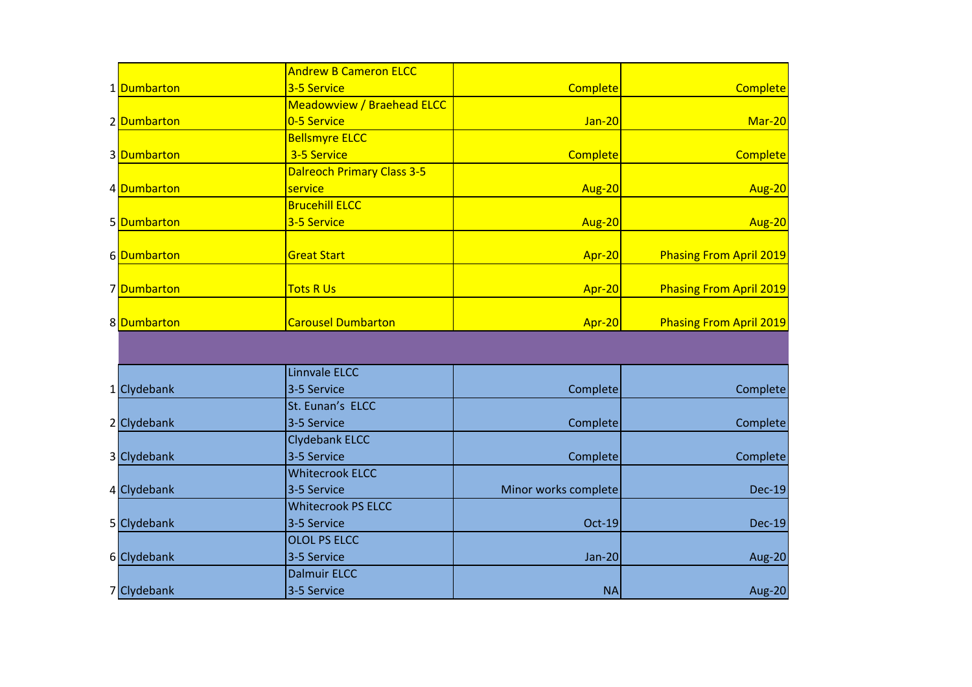|             | <b>Andrew B Cameron ELCC</b>      |                      |                                |
|-------------|-----------------------------------|----------------------|--------------------------------|
| 1 Dumbarton | 3-5 Service                       | Complete             | <b>Complete</b>                |
|             | <b>Meadowview / Braehead ELCC</b> |                      |                                |
| 2 Dumbarton | 0-5 Service                       | $Jan-20$             | Mar-20                         |
|             | <b>Bellsmyre ELCC</b>             |                      |                                |
| 3 Dumbarton | 3-5 Service                       | <b>Complete</b>      | <b>Complete</b>                |
|             | <b>Dalreoch Primary Class 3-5</b> |                      |                                |
| 4 Dumbarton | service                           | Aug-20               | <b>Aug-20</b>                  |
|             | <b>Brucehill ELCC</b>             |                      |                                |
| 5 Dumbarton | 3-5 Service                       | Aug-20               | Aug-20                         |
|             |                                   |                      |                                |
| 6Dumbarton  | <b>Great Start</b>                | Apr-20               | <b>Phasing From April 2019</b> |
|             |                                   |                      |                                |
| 7Dumbarton  | <b>Tots R Us</b>                  | Apr-20               | <b>Phasing From April 2019</b> |
|             |                                   |                      |                                |
| 8 Dumbarton | <b>Carousel Dumbarton</b>         | Apr-20               | <b>Phasing From April 2019</b> |
|             |                                   |                      |                                |
|             |                                   |                      |                                |
|             | <b>Linnvale ELCC</b>              |                      |                                |
| 1 Clydebank | 3-5 Service                       | Complete             | Complete                       |
|             | St. Eunan's ELCC                  |                      |                                |
| 2 Clydebank | 3-5 Service                       | Complete             | Complete                       |
|             | <b>Clydebank ELCC</b>             |                      |                                |
| 3 Clydebank | 3-5 Service                       | Complete             | Complete                       |
|             | <b>Whitecrook ELCC</b>            |                      |                                |
| 4 Clydebank | 3-5 Service                       | Minor works complete | <b>Dec-19</b>                  |
|             | <b>Whitecrook PS ELCC</b>         |                      |                                |
| 5 Clydebank | 3-5 Service                       | Oct-19               | <b>Dec-19</b>                  |
|             | <b>OLOL PS ELCC</b>               |                      |                                |
| 6 Clydebank | 3-5 Service                       | $Jan-20$             | Aug-20                         |
|             | <b>Dalmuir ELCC</b>               |                      |                                |
| 7 Clydebank | 3-5 Service                       | <b>NA</b>            | Aug-20                         |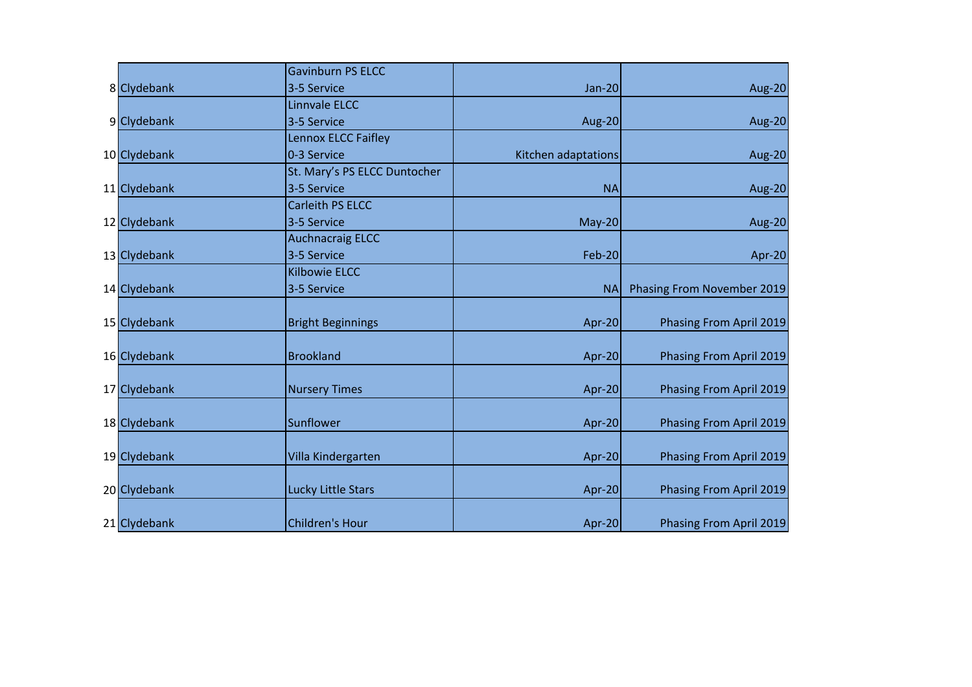|              | <b>Gavinburn PS ELCC</b>     |                     |                            |
|--------------|------------------------------|---------------------|----------------------------|
| 8 Clydebank  | 3-5 Service                  | <b>Jan-20</b>       | <b>Aug-20</b>              |
|              | <b>Linnvale ELCC</b>         |                     |                            |
| 9 Clydebank  | 3-5 Service                  | Aug-20              | Aug-20                     |
|              | Lennox ELCC Faifley          |                     |                            |
| 10 Clydebank | 0-3 Service                  | Kitchen adaptations | Aug-20                     |
|              | St. Mary's PS ELCC Duntocher |                     |                            |
| 11 Clydebank | 3-5 Service                  | <b>NA</b>           | Aug-20                     |
|              | <b>Carleith PS ELCC</b>      |                     |                            |
| 12 Clydebank | 3-5 Service                  | $May-20$            | Aug-20                     |
|              | <b>Auchnacraig ELCC</b>      |                     |                            |
| 13 Clydebank | 3-5 Service                  | <b>Feb-20</b>       | Apr-20                     |
|              | <b>Kilbowie ELCC</b>         |                     |                            |
| 14 Clydebank | 3-5 Service                  | <b>NA</b>           | Phasing From November 2019 |
|              |                              |                     |                            |
| 15 Clydebank | <b>Bright Beginnings</b>     | Apr-20              | Phasing From April 2019    |
|              |                              |                     |                            |
| 16 Clydebank | <b>Brookland</b>             | Apr-20              | Phasing From April 2019    |
|              |                              |                     |                            |
| 17 Clydebank | <b>Nursery Times</b>         | Apr-20              | Phasing From April 2019    |
|              |                              |                     |                            |
| 18 Clydebank | Sunflower                    | Apr-20              | Phasing From April 2019    |
|              |                              |                     |                            |
| 19 Clydebank | Villa Kindergarten           | Apr-20              | Phasing From April 2019    |
|              |                              |                     |                            |
| 20 Clydebank | <b>Lucky Little Stars</b>    | Apr-20              | Phasing From April 2019    |
|              |                              |                     |                            |
| 21 Clydebank | <b>Children's Hour</b>       | Apr-20              | Phasing From April 2019    |
|              |                              |                     |                            |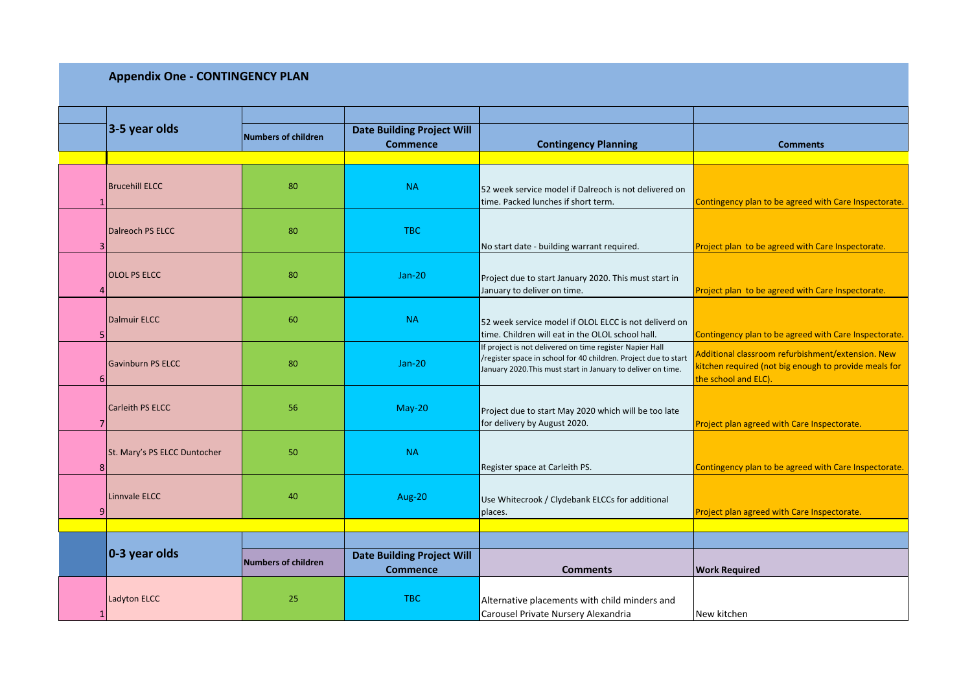## **Appendix One - CONTINGENCY PLAN**

|   | $3-5$ year olds              | <b>Numbers of children</b> | <b>Date Building Project Will</b><br><b>Commence</b> | <b>Contingency Planning</b>                                                                                                                                                                 | <b>Comments</b>                                                                                                                    |
|---|------------------------------|----------------------------|------------------------------------------------------|---------------------------------------------------------------------------------------------------------------------------------------------------------------------------------------------|------------------------------------------------------------------------------------------------------------------------------------|
|   |                              |                            |                                                      |                                                                                                                                                                                             |                                                                                                                                    |
|   | <b>Brucehill ELCC</b>        | 80                         | <b>NA</b>                                            | 52 week service model if Dalreoch is not delivered on<br>time. Packed lunches if short term.                                                                                                | Contingency plan to be agreed with Care Inspectorate.                                                                              |
| 3 | <b>Dalreoch PS ELCC</b>      | 80                         | <b>TBC</b>                                           | No start date - building warrant required.                                                                                                                                                  | Project plan to be agreed with Care Inspectorate.                                                                                  |
|   | <b>OLOL PS ELCC</b>          | 80                         | $Jan-20$                                             | Project due to start January 2020. This must start in<br>January to deliver on time.                                                                                                        | Project plan to be agreed with Care Inspectorate.                                                                                  |
|   | <b>Dalmuir ELCC</b>          | 60                         | <b>NA</b>                                            | 52 week service model if OLOL ELCC is not deliverd on<br>time. Children will eat in the OLOL school hall.                                                                                   | Contingency plan to be agreed with Care Inspectorate.                                                                              |
| 6 | <b>Gavinburn PS ELCC</b>     | 80                         | $Jan-20$                                             | If project is not delivered on time register Napier Hall<br>/register space in school for 40 children. Project due to start<br>January 2020. This must start in January to deliver on time. | Additional classroom refurbishment/extension. New<br>kitchen required (not big enough to provide meals for<br>the school and ELC). |
|   | Carleith PS ELCC             | 56                         | $May-20$                                             | Project due to start May 2020 which will be too late<br>for delivery by August 2020.                                                                                                        | Project plan agreed with Care Inspectorate.                                                                                        |
| 8 | St. Mary's PS ELCC Duntocher | 50                         | <b>NA</b>                                            | Register space at Carleith PS.                                                                                                                                                              | Contingency plan to be agreed with Care Inspectorate.                                                                              |
| q | Linnvale ELCC                | 40                         | Aug-20                                               | Use Whitecrook / Clydebank ELCCs for additional<br>places.                                                                                                                                  | Project plan agreed with Care Inspectorate.                                                                                        |
|   |                              |                            |                                                      |                                                                                                                                                                                             |                                                                                                                                    |
|   |                              |                            |                                                      |                                                                                                                                                                                             |                                                                                                                                    |
|   | 0-3 year olds                | <b>Numbers of children</b> | <b>Date Building Project Will</b><br><b>Commence</b> | <b>Comments</b>                                                                                                                                                                             | <b>Work Required</b>                                                                                                               |
|   | Ladyton ELCC                 | 25                         | <b>TBC</b>                                           | Alternative placements with child minders and<br>Carousel Private Nursery Alexandria                                                                                                        | New kitchen                                                                                                                        |